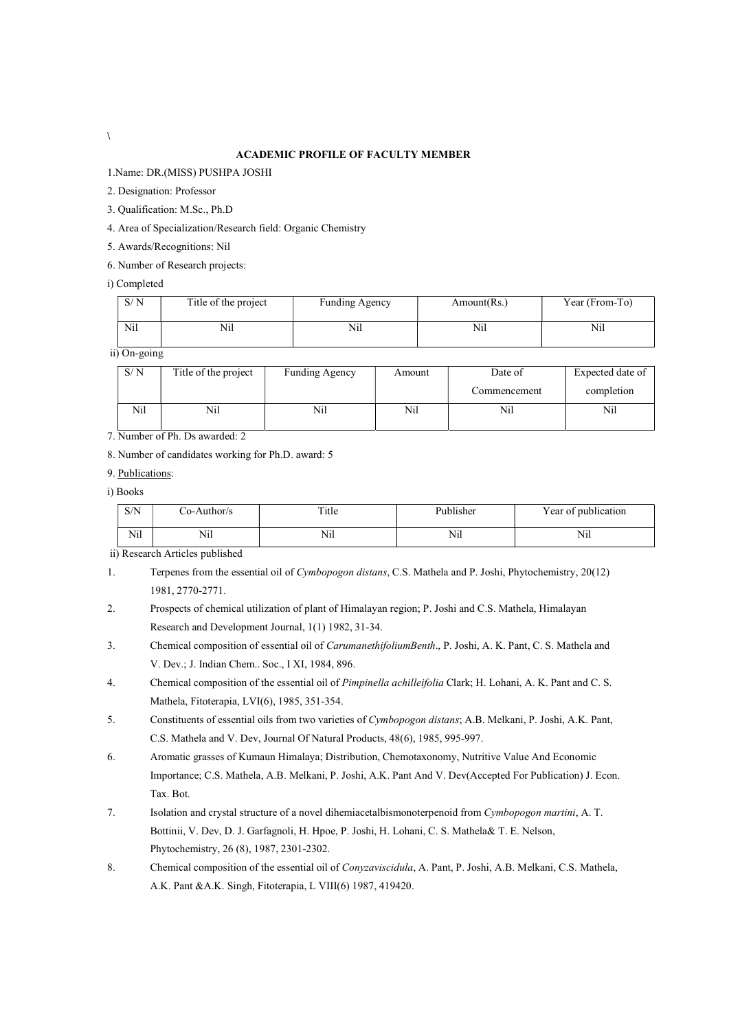## ACADEMIC PROFILE OF FACULTY MEMBER

1.Name: DR.(MISS) PUSHPA JOSHI

- 2. Designation: Professor
- 3. Qualification: M.Sc., Ph.D

4. Area of Specialization/Research field: Organic Chemistry

- 5. Awards/Recognitions: Nil
- 6. Number of Research projects:
- i) Completed

| S/N | Title of the project | <b>Funding Agency</b> | Amount(Rs.) | Year (From-To) |
|-----|----------------------|-----------------------|-------------|----------------|
| Nil | Nil                  | Nil                   | Nil         | Nil            |

ii) On-going

| S/N | Title of the project | <b>Funding Agency</b> | Amount | Date of      | Expected date of |
|-----|----------------------|-----------------------|--------|--------------|------------------|
|     |                      |                       |        | Commencement | completion       |
| Nil | Nil                  | Nil                   | Nil    | Nil          | Nil              |

7. Number of Ph. Ds awarded: 2

8. Number of candidates working for Ph.D. award: 5

9. Publications:

i) Books

| S/N | Co-Author/s | Title | Publisher | Year of publication<br><b>T</b> |
|-----|-------------|-------|-----------|---------------------------------|
| Nil | Nil         | Nil   | Nil       | 7.71<br>Nil                     |

ii) Research Articles published

- 1. Terpenes from the essential oil of Cymbopogon distans, C.S. Mathela and P. Joshi, Phytochemistry, 20(12) 1981, 2770-2771.
- 2. Prospects of chemical utilization of plant of Himalayan region; P. Joshi and C.S. Mathela, Himalayan Research and Development Journal, 1(1) 1982, 31-34.
- 3. Chemical composition of essential oil of CarumanethifoliumBenth., P. Joshi, A. K. Pant, C. S. Mathela and V. Dev.; J. Indian Chem.. Soc., I XI, 1984, 896.
- 4. Chemical composition of the essential oil of *Pimpinella achilleifolia* Clark; H. Lohani, A. K. Pant and C. S. Mathela, Fitoterapia, LVI(6), 1985, 351-354.
- 5. Constituents of essential oils from two varieties of Cymbopogon distans; A.B. Melkani, P. Joshi, A.K. Pant, C.S. Mathela and V. Dev, Journal Of Natural Products, 48(6), 1985, 995-997.
- 6. Aromatic grasses of Kumaun Himalaya; Distribution, Chemotaxonomy, Nutritive Value And Economic Importance; C.S. Mathela, A.B. Melkani, P. Joshi, A.K. Pant And V. Dev(Accepted For Publication) J. Econ. Tax. Bot.
- 7. Isolation and crystal structure of a novel dihemiacetalbismonoterpenoid from Cymbopogon martini, A. T. Bottinii, V. Dev, D. J. Garfagnoli, H. Hpoe, P. Joshi, H. Lohani, C. S. Mathela& T. E. Nelson, Phytochemistry, 26 (8), 1987, 2301-2302.
- 8. Chemical composition of the essential oil of *Conyzaviscidula*, A. Pant, P. Joshi, A.B. Melkani, C.S. Mathela, A.K. Pant &A.K. Singh, Fitoterapia, L VIII(6) 1987, 419420.

 $\backslash$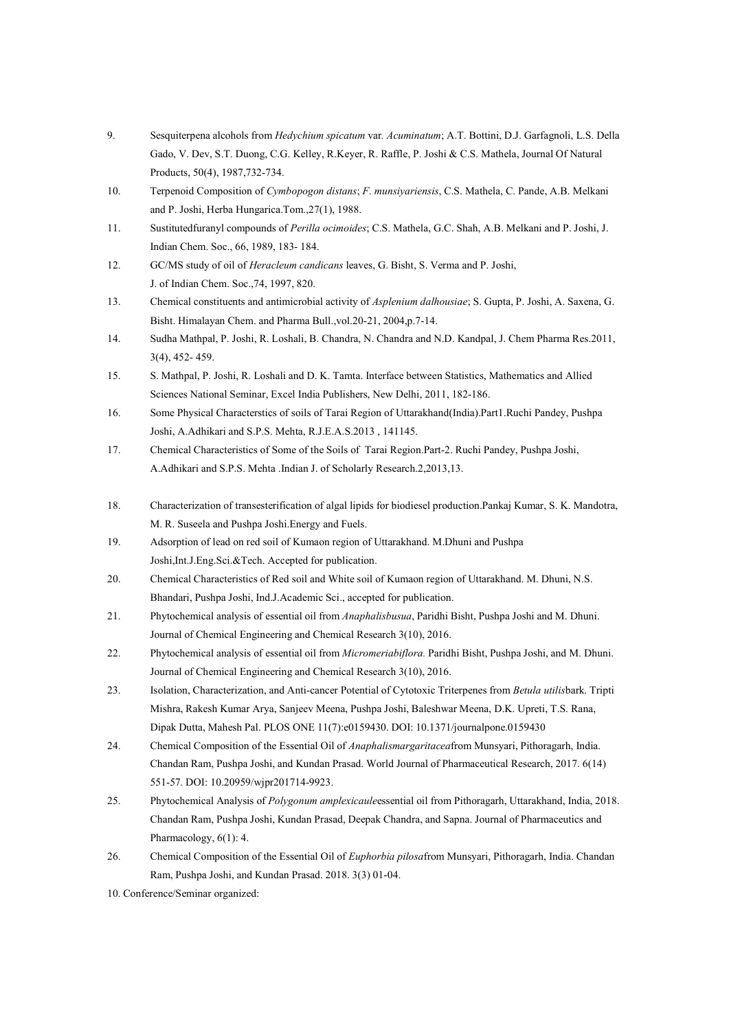- 9. Sesquiterpena alcohols from Hedychium spicatum var. Acuminatum; A.T. Bottini, D.J. Garfagnoli, L.S. Della Gado, V. Dev, S.T. Duong, C.G. Kelley, R.Keyer, R. Raffle, P. Joshi & C.S. Mathela, Journal Of Natural Products, 50(4), 1987,732-734.
- 10. Terpenoid Composition of Cymbopogon distans; F. munsiyariensis, C.S. Mathela, C. Pande, A.B. Melkani and P. Joshi, Herba Hungarica.Tom.,27(1), 1988.
- 11. Sustitutedfuranyl compounds of Perilla ocimoides; C.S. Mathela, G.C. Shah, A.B. Melkani and P. Joshi, J. Indian Chem. Soc., 66, 1989, 183- 184.
- 12. GC/MS study of oil of Heracleum candicans leaves, G. Bisht, S. Verma and P. Joshi, J. of Indian Chem. Soc.,74, 1997, 820.
- 13. Chemical constituents and antimicrobial activity of Asplenium dalhousiae; S. Gupta, P. Joshi, A. Saxena, G. Bisht. Himalayan Chem. and Pharma Bull.,vol.20-21, 2004,p.7-14.
- 14. Sudha Mathpal, P. Joshi, R. Loshali, B. Chandra, N. Chandra and N.D. Kandpal, J. Chem Pharma Res.2011, 3(4), 452- 459.
- 15. S. Mathpal, P. Joshi, R. Loshali and D. K. Tamta. Interface between Statistics, Mathematics and Allied Sciences National Seminar, Excel India Publishers, New Delhi, 2011, 182-186.
- 16. Some Physical Characterstics of soils of Tarai Region of Uttarakhand(India).Part1.Ruchi Pandey, Pushpa Joshi, A.Adhikari and S.P.S. Mehta, R.J.E.A.S.2013 , 141145.
- 17. Chemical Characteristics of Some of the Soils of Tarai Region.Part-2. Ruchi Pandey, Pushpa Joshi, A.Adhikari and S.P.S. Mehta .Indian J. of Scholarly Research.2,2013,13.
- 18. Characterization of transesterification of algal lipids for biodiesel production.Pankaj Kumar, S. K. Mandotra, M. R. Suseela and Pushpa Joshi.Energy and Fuels.
- 19. Adsorption of lead on red soil of Kumaon region of Uttarakhand. M.Dhuni and Pushpa Joshi,Int.J.Eng.Sci.&Tech. Accepted for publication.
- 20. Chemical Characteristics of Red soil and White soil of Kumaon region of Uttarakhand. M. Dhuni, N.S. Bhandari, Pushpa Joshi, Ind.J.Academic Sci., accepted for publication.
- 21. Phytochemical analysis of essential oil from Anaphalisbusua, Paridhi Bisht, Pushpa Joshi and M. Dhuni. Journal of Chemical Engineering and Chemical Research 3(10), 2016.
- 22. Phytochemical analysis of essential oil from *Micromeriabiflora*. Paridhi Bisht, Pushpa Joshi, and M. Dhuni. Journal of Chemical Engineering and Chemical Research 3(10), 2016.
- 23. Isolation, Characterization, and Anti-cancer Potential of Cytotoxic Triterpenes from Betula utilisbark. Tripti Mishra, Rakesh Kumar Arya, Sanjeev Meena, Pushpa Joshi, Baleshwar Meena, D.K. Upreti, T.S. Rana, Dipak Dutta, Mahesh Pal. PLOS ONE 11(7):e0159430. DOI: 10.1371/journalpone.0159430
- 24. Chemical Composition of the Essential Oil of Anaphalismargaritaceafrom Munsyari, Pithoragarh, India. Chandan Ram, Pushpa Joshi, and Kundan Prasad. World Journal of Pharmaceutical Research, 2017. 6(14) 551-57. DOI: 10.20959/wjpr201714-9923.
- 25. Phytochemical Analysis of Polygonum amplexicauleessential oil from Pithoragarh, Uttarakhand, India, 2018. Chandan Ram, Pushpa Joshi, Kundan Prasad, Deepak Chandra, and Sapna. Journal of Pharmaceutics and Pharmacology, 6(1): 4.
- 26. Chemical Composition of the Essential Oil of *Euphorbia pilosafrom Munsyari*, Pithoragarh, India. Chandan Ram, Pushpa Joshi, and Kundan Prasad. 2018. 3(3) 01-04.
- 10. Conference/Seminar organized: